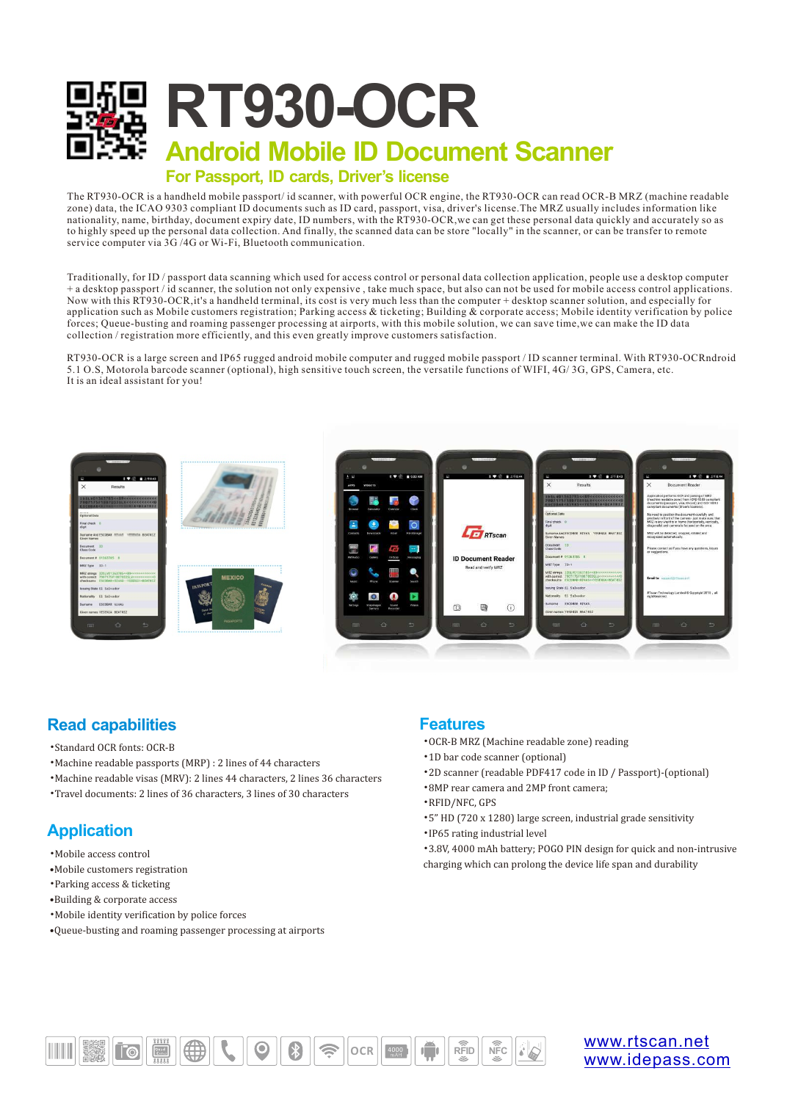

The RT930-OCR is a handheld mobile passport/ id scanner, with powerful OCR engine, the RT930-OCR can read OCR-B MRZ (machine readable zone) data, the ICAO 9303 compliant ID documents such as ID card, passport, visa, driver's license.The MRZ usually includes information like nationality, name, birthday, document expiry date, ID numbers, with the RT930-OCR,we can get these personal data quickly and accurately so as to highly speed up the personal data collection. And finally, the scanned data can be store "locally" in the scanner, or can be transfer to remote service computer via  $3\overline{G}$  /4G or Wi-Fi, Bluetooth communication.

Traditionally, for ID / passport data scanning which used for access control or personal data collection application, people use a desktop computer + a desktop passport / id scanner, the solution not only expensive , take much space, but also can not be used for mobile access control applications. Now with this RT930-OCR,it's a handheld terminal, its cost is very much less than the computer + desktop scanner solution, and especially for application such as Mobile customers registration; Parking access & ticketing; Building  $\&$  corporate access; Mobile identity verification by police forces; Queue-busting and roaming passenger processing at airports, with this mobile solution, we can save time,we can make the ID data collection / registration more efficiently, and this even greatly improve customers satisfaction.

RT930-OCR is a large screen and IP65 rugged android mobile computer and rugged mobile passport / ID scanner terminal. With RT930-OCRndroid 5.1 O.S, Motorola barcode scanner (optional), high sensitive touch screen, the versatile functions of WIFI, 4G/ 3G, GPS, Camera, etc. It is an ideal assistant for you!



## **Read capabilities**

- •Standard OCR fonts: OCR-B
- Machine readable passports (MRP) : 2 lines of 44 characters
- Machine readable visas (MRV): 2 lines 44 characters, 2 lines 36 characters
- Travel documents: 2 lines of 36 characters, 3 lines of 30 characters

## **Application**

- •Mobile access control
- •Mobile customers registration
- Parking access & ticketing
- •Building & corporate access
- •Mobile identity verification by police forces
- •Queue-busting and roaming passenger processing at airports

## **Features**

- •OCR-B MRZ (Machine readable zone) reading
- •1D bar code scanner (optional)
- •2D scanner (readable PDF417 code in ID / Passport)-(optional)
- •8MP rear camera and 2MP front camera;
- •RFID/NFC, GPS
- •5" HD (720 x 1280) large screen, industrial grade sensitivity •IP65 rating industrial level
- \*3.8V, 4000 mAh battery; POGO PIN design for quick and non-intrusive charging which can prolong the device life span and durability



[www.rtscan.net](http://www.rtscan.net) [www.idepass.com](http://www.idepass.com)